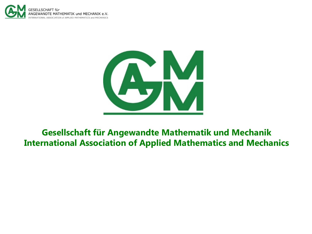



#### **Gesellschaft für Angewandte Mathematik und Mechanik International Association of Applied Mathematics and Mechanics**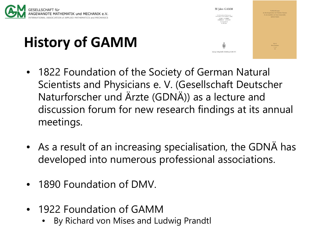

# **History of GAMM**

- 50 Jahre GAMM  $\begin{array}{c} \text{Table A}\\ \text{Klerer Mittshages} \\ \text{N-158} \end{array}$ Saringer, Verlag Berlin Heidelberg GmbH 1975
- 1822 Foundation of the Society of German Natural Scientists and Physicians e. V. (Gesellschaft Deutscher Naturforscher und Ärzte (GDNÄ)) as a lecture and discussion forum for new research findings at its annual meetings.
- As a result of an increasing specialisation, the GDNÄ has developed into numerous professional associations.
- 1890 Foundation of DMV.
- 1922 Foundation of GAMM
	- By Richard von Mises and Ludwig Prandtl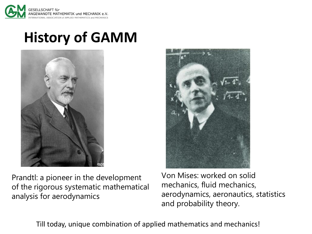

### **History of GAMM**



Prandtl: a pioneer in the development of the rigorous systematic mathematical analysis for aerodynamics

Von Mises: worked on solid mechanics, fluid mechanics, aerodynamics, aeronautics, statistics and probability theory.

Till today, unique combination of applied mathematics and mechanics!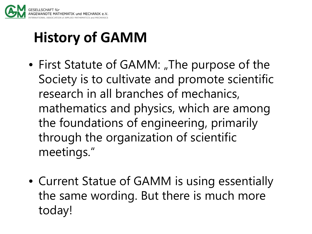

## **History of GAMM**

- First Statute of GAMM: "The purpose of the Society is to cultivate and promote scientific research in all branches of mechanics, mathematics and physics, which are among the foundations of engineering, primarily through the organization of scientific meetings."
- Current Statue of GAMM is using essentially the same wording. But there is much more today!